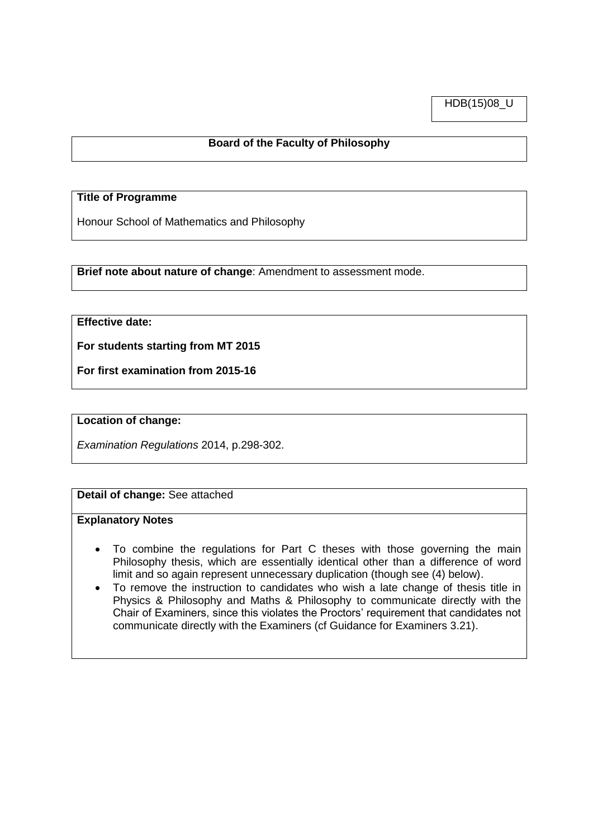HDB(15)08\_U

## **Board of the Faculty of Philosophy**

## **Title of Programme**

Honour School of Mathematics and Philosophy

**Brief note about nature of change**: Amendment to assessment mode.

## **Effective date:**

**For students starting from MT 2015**

**For first examination from 2015-16**

## **Location of change:**

*Examination Regulations* 2014, p.298-302.

### **Detail of change:** See attached

# **Explanatory Notes**

- To combine the regulations for Part C theses with those governing the main Philosophy thesis, which are essentially identical other than a difference of word limit and so again represent unnecessary duplication (though see (4) below).
- To remove the instruction to candidates who wish a late change of thesis title in Physics & Philosophy and Maths & Philosophy to communicate directly with the Chair of Examiners, since this violates the Proctors' requirement that candidates not communicate directly with the Examiners (cf Guidance for Examiners 3.21).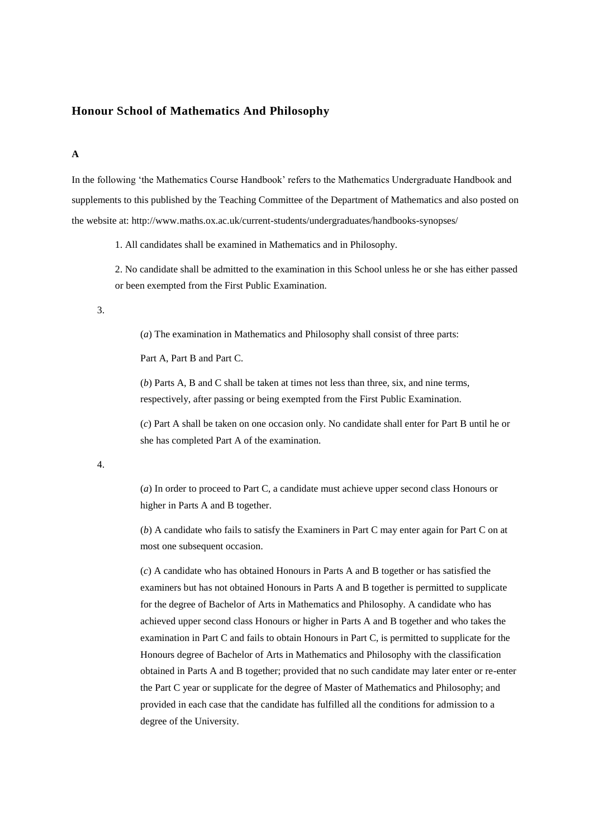### **Honour School of Mathematics And Philosophy**

**A**

In the following 'the Mathematics Course Handbook' refers to the Mathematics Undergraduate Handbook and supplements to this published by the Teaching Committee of the Department of Mathematics and also posted on the website at: http://www.maths.ox.ac.uk/current-students/undergraduates/handbooks-synopses/

1. All candidates shall be examined in Mathematics and in Philosophy.

2. No candidate shall be admitted to the examination in this School unless he or she has either passed or been exempted from the First Public Examination.

3.

(*a*) The examination in Mathematics and Philosophy shall consist of three parts:

Part A, Part B and Part C.

(*b*) Parts A, B and C shall be taken at times not less than three, six, and nine terms, respectively, after passing or being exempted from the First Public Examination.

(*c*) Part A shall be taken on one occasion only. No candidate shall enter for Part B until he or she has completed Part A of the examination.

4.

(*a*) In order to proceed to Part C, a candidate must achieve upper second class Honours or higher in Parts A and B together.

(*b*) A candidate who fails to satisfy the Examiners in Part C may enter again for Part C on at most one subsequent occasion.

(*c*) A candidate who has obtained Honours in Parts A and B together or has satisfied the examiners but has not obtained Honours in Parts A and B together is permitted to supplicate for the degree of Bachelor of Arts in Mathematics and Philosophy. A candidate who has achieved upper second class Honours or higher in Parts A and B together and who takes the examination in Part C and fails to obtain Honours in Part C, is permitted to supplicate for the Honours degree of Bachelor of Arts in Mathematics and Philosophy with the classification obtained in Parts A and B together; provided that no such candidate may later enter or re-enter the Part C year or supplicate for the degree of Master of Mathematics and Philosophy; and provided in each case that the candidate has fulfilled all the conditions for admission to a degree of the University.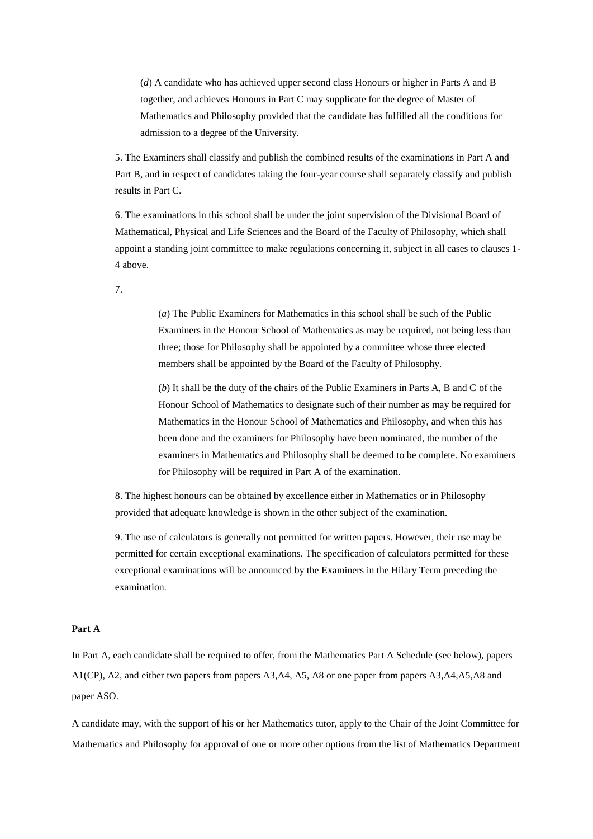(*d*) A candidate who has achieved upper second class Honours or higher in Parts A and B together, and achieves Honours in Part C may supplicate for the degree of Master of Mathematics and Philosophy provided that the candidate has fulfilled all the conditions for admission to a degree of the University.

5. The Examiners shall classify and publish the combined results of the examinations in Part A and Part B, and in respect of candidates taking the four-year course shall separately classify and publish results in Part C.

6. The examinations in this school shall be under the joint supervision of the Divisional Board of Mathematical, Physical and Life Sciences and the Board of the Faculty of Philosophy, which shall appoint a standing joint committee to make regulations concerning it, subject in all cases to clauses 1- 4 above.

7.

(*a*) The Public Examiners for Mathematics in this school shall be such of the Public Examiners in the Honour School of Mathematics as may be required, not being less than three; those for Philosophy shall be appointed by a committee whose three elected members shall be appointed by the Board of the Faculty of Philosophy.

(*b*) It shall be the duty of the chairs of the Public Examiners in Parts A, B and C of the Honour School of Mathematics to designate such of their number as may be required for Mathematics in the Honour School of Mathematics and Philosophy, and when this has been done and the examiners for Philosophy have been nominated, the number of the examiners in Mathematics and Philosophy shall be deemed to be complete. No examiners for Philosophy will be required in Part A of the examination.

8. The highest honours can be obtained by excellence either in Mathematics or in Philosophy provided that adequate knowledge is shown in the other subject of the examination.

9. The use of calculators is generally not permitted for written papers. However, their use may be permitted for certain exceptional examinations. The specification of calculators permitted for these exceptional examinations will be announced by the Examiners in the Hilary Term preceding the examination.

### **Part A**

In Part A, each candidate shall be required to offer, from the Mathematics Part A Schedule (see below), papers A1(CP), A2, and either two papers from papers A3,A4, A5, A8 or one paper from papers A3,A4,A5,A8 and paper ASO.

A candidate may, with the support of his or her Mathematics tutor, apply to the Chair of the Joint Committee for Mathematics and Philosophy for approval of one or more other options from the list of Mathematics Department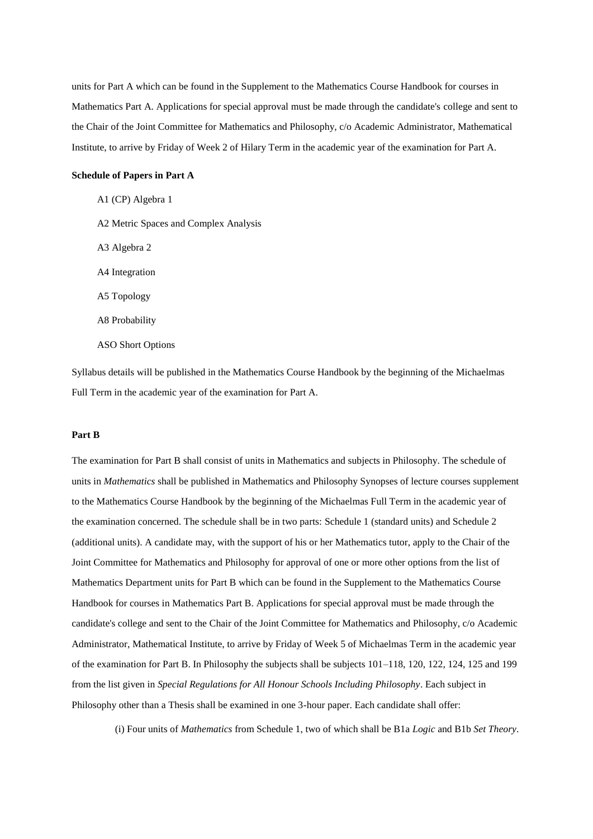units for Part A which can be found in the Supplement to the Mathematics Course Handbook for courses in Mathematics Part A. Applications for special approval must be made through the candidate's college and sent to the Chair of the Joint Committee for Mathematics and Philosophy, c/o Academic Administrator, Mathematical Institute, to arrive by Friday of Week 2 of Hilary Term in the academic year of the examination for Part A.

#### **Schedule of Papers in Part A**

A1 (CP) Algebra 1 A2 Metric Spaces and Complex Analysis A3 Algebra 2 A4 Integration A5 Topology A8 Probability

ASO Short Options

Syllabus details will be published in the Mathematics Course Handbook by the beginning of the Michaelmas Full Term in the academic year of the examination for Part A.

#### **Part B**

The examination for Part B shall consist of units in Mathematics and subjects in Philosophy. The schedule of units in *Mathematics* shall be published in Mathematics and Philosophy Synopses of lecture courses supplement to the Mathematics Course Handbook by the beginning of the Michaelmas Full Term in the academic year of the examination concerned. The schedule shall be in two parts: Schedule 1 (standard units) and Schedule 2 (additional units). A candidate may, with the support of his or her Mathematics tutor, apply to the Chair of the Joint Committee for Mathematics and Philosophy for approval of one or more other options from the list of Mathematics Department units for Part B which can be found in the Supplement to the Mathematics Course Handbook for courses in Mathematics Part B. Applications for special approval must be made through the candidate's college and sent to the Chair of the Joint Committee for Mathematics and Philosophy, c/o Academic Administrator, Mathematical Institute, to arrive by Friday of Week 5 of Michaelmas Term in the academic year of the examination for Part B. In Philosophy the subjects shall be subjects 101–118, 120, 122, 124, 125 and 199 from the list given in *Special Regulations for All Honour Schools Including Philosophy*. Each subject in Philosophy other than a Thesis shall be examined in one 3-hour paper. Each candidate shall offer:

(i) Four units of *Mathematics* from Schedule 1, two of which shall be B1a *Logic* and B1b *Set Theory*.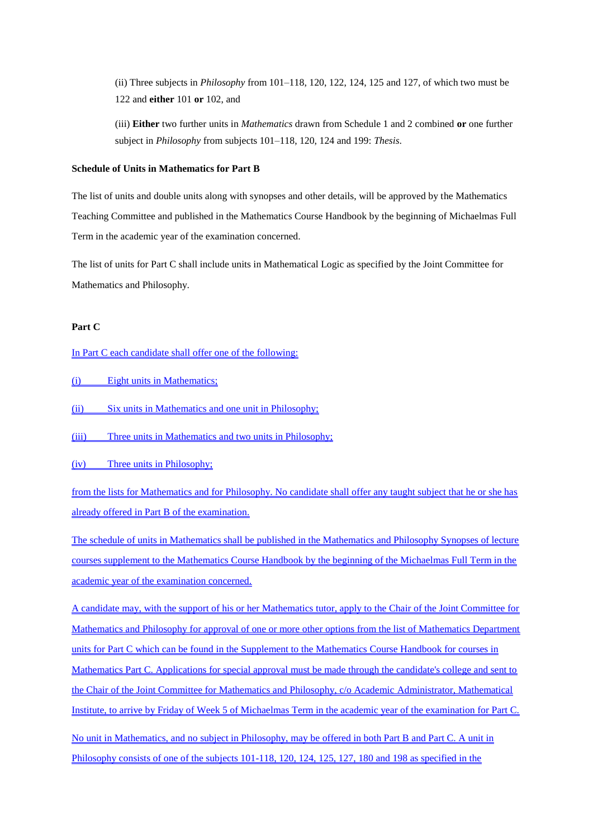(ii) Three subjects in *Philosophy* from 101–118, 120, 122, 124, 125 and 127, of which two must be 122 and **either** 101 **or** 102, and

(iii) **Either** two further units in *Mathematics* drawn from Schedule 1 and 2 combined **or** one further subject in *Philosophy* from subjects 101–118, 120, 124 and 199: *Thesis*.

### **Schedule of Units in Mathematics for Part B**

The list of units and double units along with synopses and other details, will be approved by the Mathematics Teaching Committee and published in the Mathematics Course Handbook by the beginning of Michaelmas Full Term in the academic year of the examination concerned.

The list of units for Part C shall include units in Mathematical Logic as specified by the Joint Committee for Mathematics and Philosophy.

#### **Part C**

In Part C each candidate shall offer one of the following:

(i) Eight units in Mathematics;

(ii) Six units in Mathematics and one unit in Philosophy;

(iii) Three units in Mathematics and two units in Philosophy;

(iv) Three units in Philosophy;

from the lists for Mathematics and for Philosophy. No candidate shall offer any taught subject that he or she has already offered in Part B of the examination.

The schedule of units in Mathematics shall be published in the Mathematics and Philosophy Synopses of lecture courses supplement to the Mathematics Course Handbook by the beginning of the Michaelmas Full Term in the academic year of the examination concerned.

A candidate may, with the support of his or her Mathematics tutor, apply to the Chair of the Joint Committee for Mathematics and Philosophy for approval of one or more other options from the list of Mathematics Department units for Part C which can be found in the Supplement to the Mathematics Course Handbook for courses in Mathematics Part C. Applications for special approval must be made through the candidate's college and sent to the Chair of the Joint Committee for Mathematics and Philosophy, c/o Academic Administrator, Mathematical Institute, to arrive by Friday of Week 5 of Michaelmas Term in the academic year of the examination for Part C.

No unit in Mathematics, and no subject in Philosophy, may be offered in both Part B and Part C. A unit in Philosophy consists of one of the subjects 101-118, 120, 124, 125, 127, 180 and 198 as specified in the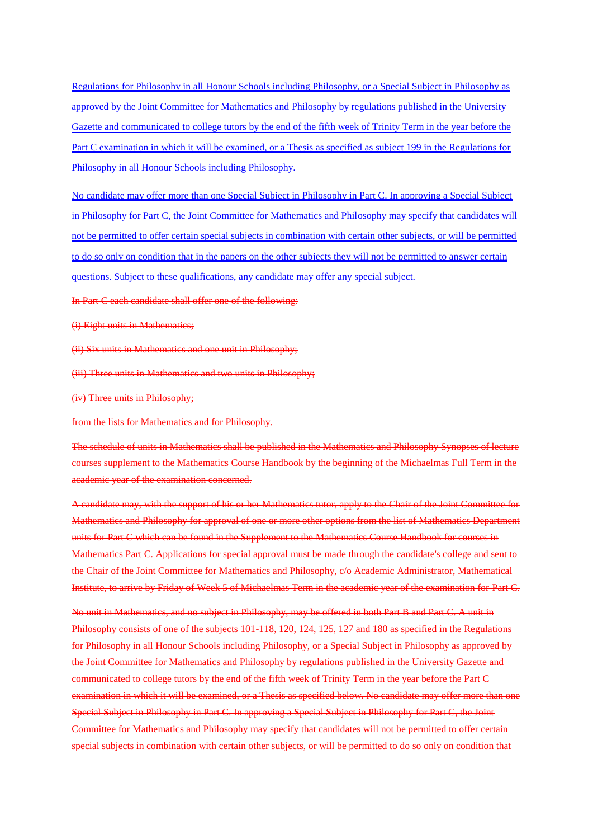Regulations for Philosophy in all Honour Schools including Philosophy, or a Special Subject in Philosophy as approved by the Joint Committee for Mathematics and Philosophy by regulations published in the University Gazette and communicated to college tutors by the end of the fifth week of Trinity Term in the year before the Part C examination in which it will be examined, or a Thesis as specified as subject 199 in the Regulations for Philosophy in all Honour Schools including Philosophy.

No candidate may offer more than one Special Subject in Philosophy in Part C. In approving a Special Subject in Philosophy for Part C, the Joint Committee for Mathematics and Philosophy may specify that candidates will not be permitted to offer certain special subjects in combination with certain other subjects, or will be permitted to do so only on condition that in the papers on the other subjects they will not be permitted to answer certain questions. Subject to these qualifications, any candidate may offer any special subject.

In Part C each candidate shall offer one of the following:

(i) Eight units in Mathematics;

(ii) Six units in Mathematics and one unit in Philosophy;

(iii) Three units in Mathematics and two units in Philosophy;

(iv) Three units in Philosophy;

from the lists for Mathematics and for Philosophy.

The schedule of units in Mathematics shall be published in the Mathematics and Philosophy Synopses of lecture courses supplement to the Mathematics Course Handbook by the beginning of the Michaelmas Full Term in the academic year of the examination concerned.

A candidate may, with the support of his or her Mathematics tutor, apply to the Chair of the Joint Committee for Mathematics and Philosophy for approval of one or more other options from the list of Mathematics Department units for Part C which can be found in the Supplement to the Mathematics Course Handbook for courses in Mathematics Part C. Applications for special approval must be made through the candidate's college and sent to the Chair of the Joint Committee for Mathematics and Philosophy, c/o Academic Administrator, Mathematical Institute, to arrive by Friday of Week 5 of Michaelmas Term in the academic year of the examination for Part C.

No unit in Mathematics, and no subject in Philosophy, may be offered in both Part B and Part C. A unit in Philosophy consists of one of the subjects 101-118, 120, 124, 125, 127 and 180 as specified in the Regulations for Philosophy in all Honour Schools including Philosophy, or a Special Subject in Philosophy as approved by the Joint Committee for Mathematics and Philosophy by regulations published in the University Gazette and communicated to college tutors by the end of the fifth week of Trinity Term in the year before the Part C examination in which it will be examined, or a Thesis as specified below. No candidate may offer more than one Special Subject in Philosophy in Part C. In approving a Special Subject in Philosophy for Part C, the Joint Committee for Mathematics and Philosophy may specify that candidates will not be permitted to offer certain special subjects in combination with certain other subjects, or will be permitted to do so only on condition that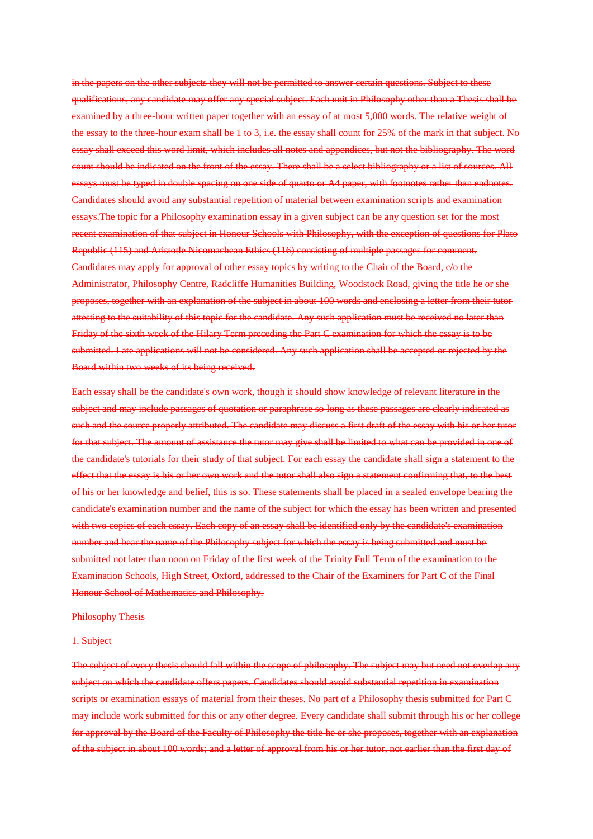in the papers on the other subjects they will not be permitted to answer certain questions. Subject to these qualifications, any candidate may offer any special subject. Each unit in Philosophy other than a Thesis shall be examined by a three-hour written paper together with an essay of at most 5,000 words. The relative weight of the essay to the three-hour exam shall be 1 to 3, i.e. the essay shall count for 25% of the mark in that subject. No essay shall exceed this word limit, which includes all notes and appendices, but not the bibliography. The word count should be indicated on the front of the essay. There shall be a select bibliography or a list of sources. All essays must be typed in double spacing on one side of quarto or A4 paper, with footnotes rather than endnotes. Candidates should avoid any substantial repetition of material between examination scripts and examination essays.The topic for a Philosophy examination essay in a given subject can be any question set for the most recent examination of that subject in Honour Schools with Philosophy, with the exception of questions for Plato Republic (115) and Aristotle Nicomachean Ethics (116) consisting of multiple passages for comment. Candidates may apply for approval of other essay topics by writing to the Chair of the Board, c/o the Administrator, Philosophy Centre, Radcliffe Humanities Building, Woodstock Road, giving the title he or she proposes, together with an explanation of the subject in about 100 words and enclosing a letter from their tutor attesting to the suitability of this topic for the candidate. Any such application must be received no later than Friday of the sixth week of the Hilary Term preceding the Part C examination for which the essay is to be submitted. Late applications will not be considered. Any such application shall be accepted or rejected by the Board within two weeks of its being received.

Each essay shall be the candidate's own work, though it should show knowledge of relevant literature in the subject and may include passages of quotation or paraphrase so long as these passages are clearly indicated as such and the source properly attributed. The candidate may discuss a first draft of the essay with his or her tutor for that subject. The amount of assistance the tutor may give shall be limited to what can be provided in one of the candidate's tutorials for their study of that subject. For each essay the candidate shall sign a statement to the effect that the essay is his or her own work and the tutor shall also sign a statement confirming that, to the best of his or her knowledge and belief, this is so. These statements shall be placed in a sealed envelope bearing the candidate's examination number and the name of the subject for which the essay has been written and presented with two copies of each essay. Each copy of an essay shall be identified only by the candidate's examination number and bear the name of the Philosophy subject for which the essay is being submitted and must be submitted not later than noon on Friday of the first week of the Trinity Full Term of the examination to the Examination Schools, High Street, Oxford, addressed to the Chair of the Examiners for Part C of the Final Honour School of Mathematics and Philosophy.

#### Philosophy Thesis

### 1. Subject

The subject of every thesis should fall within the scope of philosophy. The subject may but need not overlap any subject on which the candidate offers papers. Candidates should avoid substantial repetition in examination scripts or examination essays of material from their theses. No part of a Philosophy thesis submitted for Part C may include work submitted for this or any other degree. Every candidate shall submit through his or her college for approval by the Board of the Faculty of Philosophy the title he or she proposes, together with an explanation of the subject in about 100 words; and a letter of approval from his or her tutor, not earlier than the first day of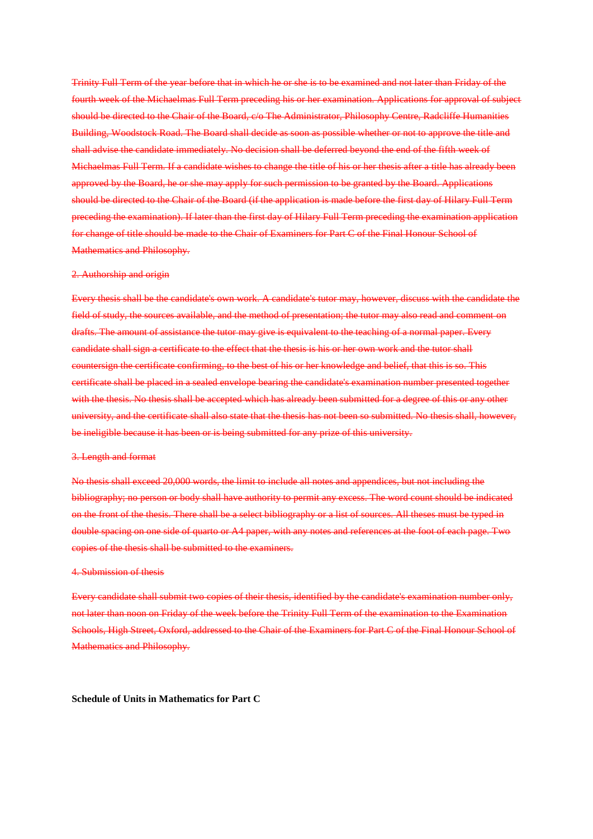Trinity Full Term of the year before that in which he or she is to be examined and not later than Friday of the fourth week of the Michaelmas Full Term preceding his or her examination. Applications for approval of subject should be directed to the Chair of the Board, c/o The Administrator, Philosophy Centre, Radcliffe Humanities Building, Woodstock Road. The Board shall decide as soon as possible whether or not to approve the title and shall advise the candidate immediately. No decision shall be deferred beyond the end of the fifth week of Michaelmas Full Term. If a candidate wishes to change the title of his or her thesis after a title has already been approved by the Board, he or she may apply for such permission to be granted by the Board. Applications should be directed to the Chair of the Board (if the application is made before the first day of Hilary Full Term preceding the examination). If later than the first day of Hilary Full Term preceding the examination application for change of title should be made to the Chair of Examiners for Part C of the Final Honour School of Mathematics and Philosophy.

#### 2. Authorship and origin

Every thesis shall be the candidate's own work. A candidate's tutor may, however, discuss with the candidate the field of study, the sources available, and the method of presentation; the tutor may also read and comment on drafts. The amount of assistance the tutor may give is equivalent to the teaching of a normal paper. Every candidate shall sign a certificate to the effect that the thesis is his or her own work and the tutor shall countersign the certificate confirming, to the best of his or her knowledge and belief, that this is so. This certificate shall be placed in a sealed envelope bearing the candidate's examination number presented together with the thesis. No thesis shall be accepted which has already been submitted for a degree of this or any other university, and the certificate shall also state that the thesis has not been so submitted. No thesis shall, however, be ineligible because it has been or is being submitted for any prize of this university.

#### 3. Length and format

No thesis shall exceed 20,000 words, the limit to include all notes and appendices, but not including the bibliography; no person or body shall have authority to permit any excess. The word count should be indicated on the front of the thesis. There shall be a select bibliography or a list of sources. All theses must be typed in double spacing on one side of quarto or A4 paper, with any notes and references at the foot of each page. Two copies of the thesis shall be submitted to the examiners.

### 4. Submission of thesis

Every candidate shall submit two copies of their thesis, identified by the candidate's examination number only, not later than noon on Friday of the week before the Trinity Full Term of the examination to the Examination Schools, High Street, Oxford, addressed to the Chair of the Examiners for Part C of the Final Honour School of Mathematics and Philosophy.

**Schedule of Units in Mathematics for Part C**